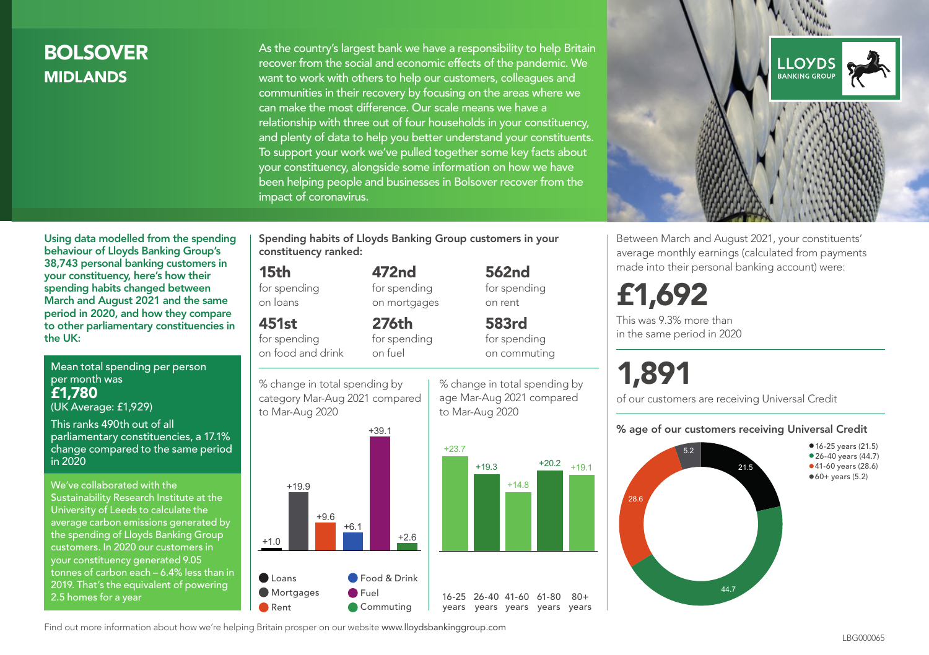### BOLSOVER MIDLANDS

As the country's largest bank we have a responsibility to help Britain recover from the social and economic effects of the pandemic. We want to work with others to help our customers, colleagues and communities in their recovery by focusing on the areas where we can make the most difference. Our scale means we have a relationship with three out of four households in your constituency, and plenty of data to help you better understand your constituents. To support your work we've pulled together some key facts about your constituency, alongside some information on how we have been helping people and businesses in Bolsover recover from the impact of coronavirus.



Between March and August 2021, your constituents' average monthly earnings (calculated from payments made into their personal banking account) were:

## £1,692

This was 9.3% more than in the same period in 2020

# 1,891

of our customers are receiving Universal Credit

#### % age of our customers receiving Universal Credit



Using data modelled from the spending behaviour of Lloyds Banking Group's 38,743 personal banking customers in your constituency, here's how their spending habits changed between March and August 2021 and the same period in 2020, and how they compare to other parliamentary constituencies in the UK:

Mean total spending per person per month was £1,780 (UK Average: £1,929)

This ranks 490th out of all parliamentary constituencies, a 17.1% change compared to the same period in 2020

We've collaborated with the Sustainability Research Institute at the University of Leeds to calculate the average carbon emissions generated by the spending of Lloyds Banking Group customers. In 2020 our customers in your constituency generated 9.05 tonnes of carbon each – 6.4% less than in 2019. That's the equivalent of powering 2.5 homes for a year

Spending habits of Lloyds Banking Group customers in your constituency ranked:

> 472nd for spending on mortgages

276th for spending on fuel

#### 15th

for spending on loans

451st

for spending on food and drink

% change in total spending by category Mar-Aug 2021 compared to Mar-Aug 2020



% change in total spending by age Mar-Aug 2021 compared to Mar-Aug 2020

562nd for spending

 $+14.8$ 

 $+20.2$   $+19.1$ 

 $80+$ 

on rent 583rd for spending on commuting